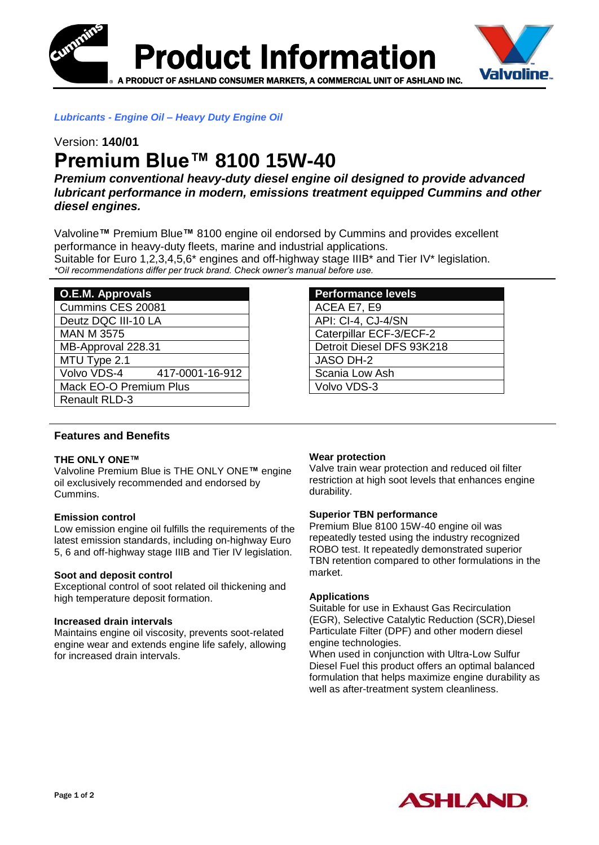



*Lubricants - Engine Oil – Heavy Duty Engine Oil*

# Version: **140/01 Premium Blue™ 8100 15W-40**

*Premium conventional heavy-duty diesel engine oil designed to provide advanced lubricant performance in modern, emissions treatment equipped Cummins and other diesel engines.*

Valvoline**™** Premium Blue**™** 8100 engine oil endorsed by Cummins and provides excellent performance in heavy-duty fleets, marine and industrial applications. Suitable for Euro 1,2,3,4,5,6<sup>\*</sup> engines and off-highway stage IIIB<sup>\*</sup> and Tier IV<sup>\*</sup> legislation. *\*Oil recommendations differ per truck brand. Check owner's manual before use.* 

| <b>O.E.M. Approvals</b> |                 |
|-------------------------|-----------------|
| Cummins CES 20081       |                 |
| Deutz DQC III-10 LA     |                 |
| <b>MAN M 3575</b>       |                 |
| MB-Approval 228.31      |                 |
| MTU Type 2.1            |                 |
| Volvo VDS-4             | 417-0001-16-912 |
| Mack EO-O Premium Plus  |                 |
| <b>Renault RLD-3</b>    |                 |

## **Performance levels** ACEA E7, E9 API: CI-4, CJ-4/SN Caterpillar ECF-3/ECF-2 Detroit Diesel DFS 93K218 JASO DH-2 Scania Low Ash Volvo VDS-3

## **Features and Benefits**

#### **THE ONLY ONE™**

Valvoline Premium Blue is THE ONLY ONE**™** engine oil exclusively recommended and endorsed by Cummins.

## **Emission control**

Low emission engine oil fulfills the requirements of the latest emission standards, including on-highway Euro 5, 6 and off-highway stage IIIB and Tier IV legislation.

#### **Soot and deposit control**

Exceptional control of soot related oil thickening and high temperature deposit formation.

#### **Increased drain intervals**

Maintains engine oil viscosity, prevents soot-related engine wear and extends engine life safely, allowing for increased drain intervals.

#### **Wear protection**

Valve train wear protection and reduced oil filter restriction at high soot levels that enhances engine durability.

#### **Superior TBN performance**

Premium Blue 8100 15W-40 engine oil was repeatedly tested using the industry recognized ROBO test. It repeatedly demonstrated superior TBN retention compared to other formulations in the market.

#### **Applications**

Suitable for use in Exhaust Gas Recirculation (EGR), Selective Catalytic Reduction (SCR),Diesel Particulate Filter (DPF) and other modern diesel engine technologies.

When used in conjunction with Ultra-Low Sulfur Diesel Fuel this product offers an optimal balanced formulation that helps maximize engine durability as well as after-treatment system cleanliness.